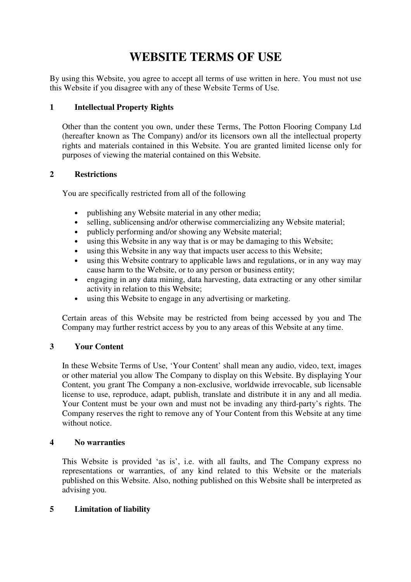# **WEBSITE TERMS OF USE**

By using this Website, you agree to accept all terms of use written in here. You must not use this Website if you disagree with any of these Website Terms of Use.

## **1 Intellectual Property Rights**

Other than the content you own, under these Terms, The Potton Flooring Company Ltd (hereafter known as The Company) and/or its licensors own all the intellectual property rights and materials contained in this Website. You are granted limited license only for purposes of viewing the material contained on this Website.

## **2 Restrictions**

You are specifically restricted from all of the following

- publishing any Website material in any other media;
- selling, sublicensing and/or otherwise commercializing any Website material;
- publicly performing and/or showing any Website material;<br>• using this Website in any way that is or may be damaging t
- using this Website in any way that is or may be damaging to this Website;
- using this Website in any way that impacts user access to this Website;
- using this Website contrary to applicable laws and regulations, or in any way may cause harm to the Website, or to any person or business entity;
- engaging in any data mining, data harvesting, data extracting or any other similar activity in relation to this Website;
- using this Website to engage in any advertising or marketing.

Certain areas of this Website may be restricted from being accessed by you and The Company may further restrict access by you to any areas of this Website at any time.

# **3 Your Content**

In these Website Terms of Use, 'Your Content' shall mean any audio, video, text, images or other material you allow The Company to display on this Website. By displaying Your Content, you grant The Company a non-exclusive, worldwide irrevocable, sub licensable license to use, reproduce, adapt, publish, translate and distribute it in any and all media. Your Content must be your own and must not be invading any third-party's rights. The Company reserves the right to remove any of Your Content from this Website at any time without notice.

#### **4 No warranties**

This Website is provided 'as is', i.e. with all faults, and The Company express no representations or warranties, of any kind related to this Website or the materials published on this Website. Also, nothing published on this Website shall be interpreted as advising you.

# **5 Limitation of liability**